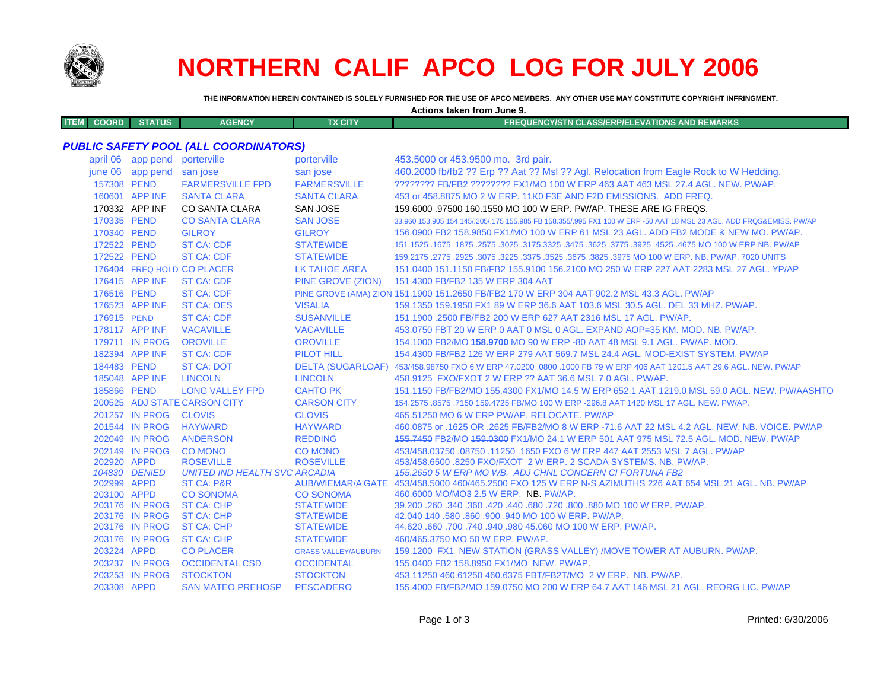

# **NORTHERN CALIF APCO LOG FOR JULY 2006**

**THE INFORMATION HEREIN CONTAINED IS SOLELY FURNISHED FOR THE USE OF APCO MEMBERS. ANY OTHER USE MAY CONSTITUTE COPYRIGHT INFRINGMENT.**

**Actions taken from June 9.**

| <b>ITEM</b> | COORD I' | <b>STATUS</b> | <b>AGENCY</b> | TX CITY | <b>FREQUENCY/STN CLASS/ERP/ELEVATIONS AND REMARKS</b> |
|-------------|----------|---------------|---------------|---------|-------------------------------------------------------|
|             |          |               |               |         |                                                       |

### *PUBLIC SAFETY POOL (ALL COORDINATORS)*

| april 06    | app pend          | porterville                           | porterville                          | 453.5000 or 453.9500 mo. 3rd pair.                                                                                  |
|-------------|-------------------|---------------------------------------|--------------------------------------|---------------------------------------------------------------------------------------------------------------------|
| june 06     | app pend san jose |                                       | san jose                             | 460.2000 fb/fb2 ?? Erp ?? Aat ?? Msl ?? Agl. Relocation from Eagle Rock to W Hedding.                               |
| 157308 PEND |                   | <b>FARMERSVILLE FPD</b>               | <b>FARMERSVILLE</b>                  | ???????? FB/FB2 ???????? FX1/MO 100 W ERP 463 AAT 463 MSL 27.4 AGL. NEW. PW/AP.                                     |
|             | 160601 APP INF    | <b>SANTA CLARA</b>                    | <b>SANTA CLARA</b>                   | 453 or 458,8875 MO 2 W ERP, 11K0 F3E AND F2D EMISSIONS. ADD FREQ.                                                   |
|             | 170332 APP INF    | CO SANTA CLARA                        | <b>SAN JOSE</b>                      | 159,6000 .97500 160,1550 MO 100 W ERP, PW/AP, THESE ARE IG FREQS.                                                   |
| 170335 PEND |                   | <b>CO SANTA CLARA</b>                 | <b>SAN JOSE</b>                      | 33.960 153.905 154.145/.205/.175 155.985 FB 158.355/.995 FX1 100 W ERP -50 AAT 18 MSL 23 AGL. ADD FRQS&EMISS, PW/AP |
| 170340 PEND |                   | <b>GILROY</b>                         | <b>GILROY</b>                        | 156.0900 FB2 158.9850 FX1/MO 100 W ERP 61 MSL 23 AGL. ADD FB2 MODE & NEW MO. PW/AP.                                 |
| 172522 PEND |                   | <b>ST CA: CDF</b>                     | <b>STATEWIDE</b>                     | 151.1525 .1675 .1675 .3025 .3475 .3625 .3775 .3625 .3625 .3625 .3475 .325. 2575 .1675 .1675 .1675 .1675 .1679       |
| 172522 PEND |                   | <b>ST CA: CDF</b>                     | <b>STATEWIDE</b>                     | 159.2175 .2775 .2925 .3075 .3225 .3375 .3525 .3675 .3825 .3975 MO 100 W ERP. NB. PW/AP. 7020 UNITS                  |
|             |                   | 176404 FREQ HOLD CO PLACER            | LK TAHOE AREA                        | 151,0400-151,1150 FB/FB2 155,9100 156,2100 MO 250 W ERP 227 AAT 2283 MSL 27 AGL, YP/AP                              |
|             | 176415 APP INF    | <b>ST CA: CDF</b>                     | PINE GROVE (ZION)                    | 151.4300 FB/FB2 135 W ERP 304 AAT                                                                                   |
| 176516 PEND |                   | <b>ST CA: CDF</b>                     |                                      | PINE GROVE (AMA) ZION 151.1900 151.2650 FB/FB2 170 W ERP 304 AAT 902.2 MSL 43.3 AGL. PW/AP                          |
|             | 176523 APP INF    | <b>ST CA: OES</b>                     | <b>VISALIA</b>                       | 159.1350 159.1950 FX1 89 W ERP 36.6 AAT 103.6 MSL 30.5 AGL. DEL 33 MHZ. PW/AP.                                      |
| 176915 PEND |                   | <b>ST CA: CDF</b>                     | <b>SUSANVILLE</b>                    | 151.1900 .2500 FB/FB2 200 W ERP 627 AAT 2316 MSL 17 AGL, PW/AP.                                                     |
|             | 178117 APP INF    | <b>VACAVILLE</b>                      | <b>VACAVILLE</b>                     | 453.0750 FBT 20 W ERP 0 AAT 0 MSL 0 AGL. EXPAND AOP=35 KM. MOD. NB. PW/AP.                                          |
|             | 179711 IN PROG    | <b>OROVILLE</b>                       | <b>OROVILLE</b>                      | 154,1000 FB2/MO 158,9700 MO 90 W ERP -80 AAT 48 MSL 9.1 AGL, PW/AP, MOD.                                            |
|             | 182394 APP INF    | <b>ST CA: CDF</b>                     | <b>PILOT HILL</b>                    | 154,4300 FB/FB2 126 W ERP 279 AAT 569.7 MSL 24.4 AGL, MOD-EXIST SYSTEM, PW/AP                                       |
| 184483 PEND |                   | <b>ST CA: DOT</b>                     |                                      | DELTA (SUGARLOAF) 453/458.98750 FXO 6 W ERP 47.0200 .0800 .1000 FB 79 W ERP 406 AAT 1201.5 AAT 29.6 AGL. NEW. PW/AP |
|             | 185048 APP INF    | <b>LINCOLN</b>                        | <b>LINCOLN</b>                       | 458.9125 FXO/FXOT 2 W ERP ?? AAT 36.6 MSL 7.0 AGL, PW/AP.                                                           |
| 185866 PEND |                   | <b>LONG VALLEY FPD</b>                | <b>CAHTO PK</b>                      | 151.1150 FB/FB2/MO 155.4300 FX1/MO 14.5 W ERP 652.1 AAT 1219.0 MSL 59.0 AGL. NEW. PW/AASHTO                         |
|             |                   | 200525 ADJ STATE CARSON CITY          | <b>CARSON CITY</b>                   | 154.2575 .8575 .7150 159.4725 FB/MO 100 W ERP -296.8 AAT 1420 MSL 17 AGL. NEW. PW/AP.                               |
|             | 201257 IN PROG    | <b>CLOVIS</b>                         | <b>CLOVIS</b>                        | 465.51250 MO 6 W ERP PW/AP. RELOCATE. PW/AP                                                                         |
|             | 201544 IN PROG    | <b>HAYWARD</b>                        | <b>HAYWARD</b>                       | 460.0875 or .1625 OR .2625 FB/FB2/MO 8 W ERP -71.6 AAT 22 MSL 4.2 AGL. NEW. NB. VOICE. PW/AP                        |
|             | 202049 IN PROG    | <b>ANDERSON</b>                       | <b>REDDING</b>                       | 155,7450 FB2/MO 159,0300 FX1/MO 24.1 W ERP 501 AAT 975 MSL 72.5 AGL, MOD, NEW, PW/AP                                |
|             | 202149 IN PROG    | <b>CO MONO</b>                        | CO MONO                              | 453/458.03750.08750.11250.1650 FXO 6 W ERP 447 AAT 2553 MSL 7 AGL, PW/AP                                            |
| 202920 APPD |                   | <b>ROSEVILLE</b>                      | <b>ROSEVILLE</b>                     | 453/458,6500,8250 FXO/FXOT 2 W ERP, 2 SCADA SYSTEMS, NB, PW/AP.                                                     |
|             | 104830 DENIED     | <b>UNITED IND HEALTH SVC ARCADIA</b>  |                                      | 155.2650 5 W ERP MO WB. ADJ CHNL CONCERN CI FORTUNA FB2                                                             |
| 202999 APPD |                   | <b>ST CA: P&amp;R</b>                 |                                      | AUB/WIEMAR/A'GATE 453/458.5000 460/465.2500 FXO 125 W ERP N-S AZIMUTHS 226 AAT 654 MSL 21 AGL. NB. PW/AP            |
| 203100 APPD | 203176 IN PROG    | <b>CO SONOMA</b><br><b>ST CA: CHP</b> | <b>CO SONOMA</b><br><b>STATEWIDE</b> | 460.6000 MO/MO3 2.5 W ERP. NB. PW/AP.<br>39.200 .260 .360 .420 .440 .680 .720 .800 .880 MO 100 W ERP. PW/AP.        |
|             | 203176 IN PROG    | <b>ST CA: CHP</b>                     | <b>STATEWIDE</b>                     | 42.040 140 .580 .860 .900 .940 MO 100 W ERP. PW/AP.                                                                 |
|             | 203176 IN PROG    | <b>ST CA: CHP</b>                     | <b>STATEWIDE</b>                     | 44.620 .660 .700 .740 .940 .980 45.060 MO 100 W ERP. PW/AP.                                                         |
|             | 203176 IN PROG    | <b>ST CA: CHP</b>                     | <b>STATEWIDE</b>                     | 460/465.3750 MO 50 W ERP. PW/AP.                                                                                    |
| 203224 APPD |                   | <b>CO PLACER</b>                      | <b>GRASS VALLEY/AUBURN</b>           | 159.1200 FX1 NEW STATION (GRASS VALLEY) /MOVE TOWER AT AUBURN. PW/AP.                                               |
|             | 203237 IN PROG    | <b>OCCIDENTAL CSD</b>                 | <b>OCCIDENTAL</b>                    | 155.0400 FB2 158.8950 FX1/MO NEW, PW/AP.                                                                            |
|             | 203253 IN PROG    | <b>STOCKTON</b>                       | <b>STOCKTON</b>                      | 453.11250 460.61250 460.6375 FBT/FB2T/MO 2 W ERP. NB. PW/AP.                                                        |
| 203308 APPD |                   | <b>SAN MATEO PREHOSP</b>              | <b>PESCADERO</b>                     | 155,4000 FB/FB2/MO 159,0750 MO 200 W ERP 64.7 AAT 146 MSL 21 AGL, REORG LIC, PW/AP                                  |
|             |                   |                                       |                                      |                                                                                                                     |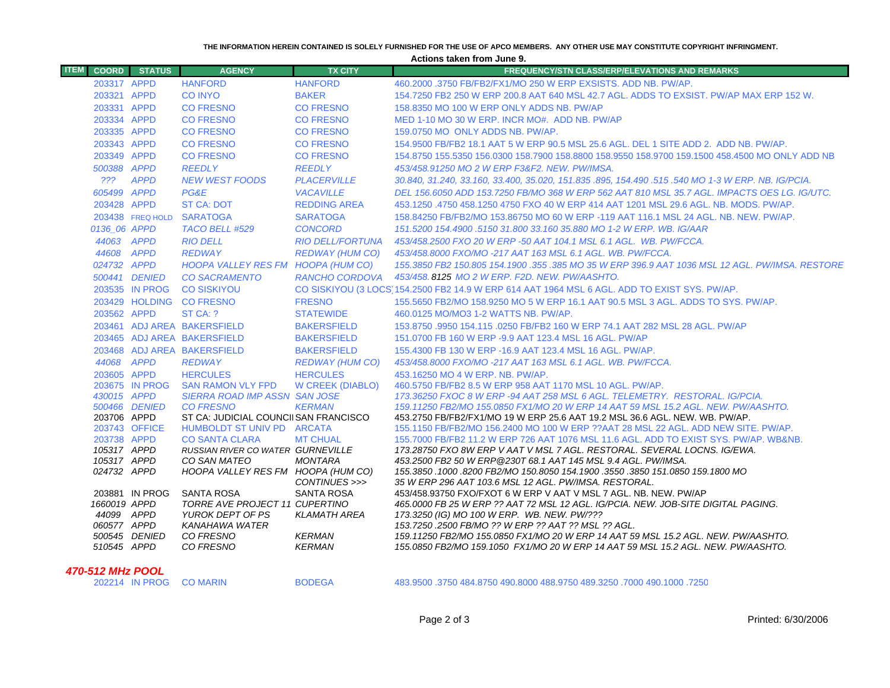#### **THE INFORMATION HEREIN CONTAINED IS SOLELY FURNISHED FOR THE USE OF APCO MEMBERS. ANY OTHER USE MAY CONSTITUTE COPYRIGHT INFRINGMENT.**

**Actions taken from June 9.**

| <b>ITEM</b><br><b>COORD</b> | <b>STATUS</b>  | <b>AGENCY</b>                                                     | <b>TX CITY</b>                 | <b>FREQUENCY/STN CLASS/ERP/ELEVATIONS AND REMARKS</b>                                                                                                                 |
|-----------------------------|----------------|-------------------------------------------------------------------|--------------------------------|-----------------------------------------------------------------------------------------------------------------------------------------------------------------------|
| 203317 APPD                 |                | <b>HANFORD</b>                                                    | <b>HANFORD</b>                 | 460.2000 .3750 FB/FB2/FX1/MO 250 W ERP EXSISTS. ADD NB. PW/AP.                                                                                                        |
| 203321 APPD                 |                | <b>CO INYO</b>                                                    | <b>BAKER</b>                   | 154.7250 FB2 250 W ERP 200.8 AAT 640 MSL 42.7 AGL. ADDS TO EXSIST. PW/AP MAX ERP 152 W.                                                                               |
| 203331 APPD                 |                | <b>CO FRESNO</b>                                                  | <b>CO FRESNO</b>               | 158,8350 MO 100 W ERP ONLY ADDS NB, PW/AP                                                                                                                             |
| 203334 APPD                 |                | <b>CO FRESNO</b>                                                  | <b>CO FRESNO</b>               | MED 1-10 MO 30 W ERP. INCR MO#, ADD NB, PW/AP                                                                                                                         |
| 203335 APPD                 |                | <b>CO FRESNO</b>                                                  | <b>CO FRESNO</b>               | 159.0750 MO ONLY ADDS NB. PW/AP.                                                                                                                                      |
| 203343 APPD                 |                | <b>CO FRESNO</b>                                                  | <b>CO FRESNO</b>               | 154.9500 FB/FB2 18.1 AAT 5 W ERP 90.5 MSL 25.6 AGL. DEL 1 SITE ADD 2. ADD NB. PW/AP.                                                                                  |
| 203349 APPD                 |                | <b>CO FRESNO</b>                                                  | <b>CO FRESNO</b>               | 154.8750 155.5350 156.0300 158.7900 158.8800 158.9550 158.9700 159.1500 458.4500 MO ONLY ADD NB                                                                       |
| 500388 APPD                 |                | <b>REEDLY</b>                                                     | <b>REEDLY</b>                  | 453/458.91250 MO 2 W ERP F3&F2, NEW, PW/IMSA,                                                                                                                         |
|                             | ??? APPD       | <b>NEW WEST FOODS</b>                                             | <b>PLACERVILLE</b>             | 30.840, 31.240, 33.160, 33.400, 35.020, 151.835 .895, 154.490 .515 .540 MO 1-3 W ERP. NB. IG/PCIA.                                                                    |
| 605499 APPD                 |                | PG&E                                                              | <b>VACAVILLE</b>               | DEL 156.6050 ADD 153.7250 FB/MO 368 W ERP 562 AAT 810 MSL 35.7 AGL. IMPACTS OES LG. IG/UTC.                                                                           |
| 203428 APPD                 |                | <b>ST CA: DOT</b>                                                 | <b>REDDING AREA</b>            | 453.1250 .4750 458.1250 4750 FXO 40 W ERP 414 AAT 1201 MSL 29.6 AGL, NB, MODS, PW/AP,                                                                                 |
|                             |                | 203438 FREQ HOLD SARATOGA                                         | <b>SARATOGA</b>                | 158.84250 FB/FB2/MO 153.86750 MO 60 W ERP -119 AAT 116.1 MSL 24 AGL, NB, NEW, PW/AP,                                                                                  |
| 0136 06 APPD                |                | TACO BELL #529                                                    | <b>CONCORD</b>                 | 151.5200 154.4900 .5150 31.800 33.160 35.880 MO 1-2 W ERP, WB, IG/AAR                                                                                                 |
| 44063 APPD                  |                | <b>RIO DELL</b>                                                   | <b>RIO DELL/FORTUNA</b>        | 453/458.2500 FXO 20 W ERP -50 AAT 104.1 MSL 6.1 AGL. WB. PW/FCCA.                                                                                                     |
| 44608 APPD                  |                | <b>REDWAY</b>                                                     | <b>REDWAY (HUM CO)</b>         | 453/458.8000 FXO/MO -217 AAT 163 MSL 6.1 AGL, WB, PW/FCCA,                                                                                                            |
| 024732 APPD                 |                | HOOPA VALLEY RES FM HOOPA (HUM CO)                                |                                | 155.3850 FB2 150.805 154.1900 .355 .385 MO 35 W ERP 396.9 AAT 1036 MSL 12 AGL, PW/IMSA, RESTORE                                                                       |
|                             | 500441 DENIED  | <b>CO SACRAMENTO</b>                                              | RANCHO CORDOVA                 | 453/458, 8125 MO 2 W ERP, F2D, NEW, PW/AASHTO,                                                                                                                        |
|                             | 203535 IN PROG | <b>CO SISKIYOU</b>                                                |                                | CO SISKIYOU (3 LOCS) 154,2500 FB2 14.9 W ERP 614 AAT 1964 MSL 6 AGL, ADD TO EXIST SYS, PW/AP,                                                                         |
|                             |                | 203429 HOLDING CO FRESNO                                          | <b>FRESNO</b>                  | 155,5650 FB2/MO 158,9250 MO 5 W ERP 16.1 AAT 90.5 MSL 3 AGL. ADDS TO SYS, PW/AP.                                                                                      |
| 203562 APPD                 |                | ST CA: ?                                                          | <b>STATEWIDE</b>               | 460.0125 MO/MO3 1-2 WATTS NB. PW/AP.                                                                                                                                  |
|                             |                | 203461 ADJ AREA BAKERSFIELD                                       | <b>BAKERSFIELD</b>             | 153.8750 .9950 154.115 .0250 FB/FB2 160 W ERP 74.1 AAT 282 MSL 28 AGL. PW/AP                                                                                          |
|                             |                | 203465 ADJ AREA BAKERSFIELD                                       | <b>BAKERSFIELD</b>             | 151.0700 FB 160 W ERP -9.9 AAT 123.4 MSL 16 AGL. PW/AP                                                                                                                |
|                             |                | 203468 ADJ AREA BAKERSFIELD                                       | <b>BAKERSFIELD</b>             | 155.4300 FB 130 W ERP -16.9 AAT 123.4 MSL 16 AGL, PW/AP.                                                                                                              |
| 44068 APPD                  |                | <b>REDWAY</b>                                                     | REDWAY (HUM CO)                | 453/458.8000 FXO/MO -217 AAT 163 MSL 6.1 AGL, WB, PW/FCCA,                                                                                                            |
| 203605 APPD                 |                | <b>HERCULES</b>                                                   | <b>HERCULES</b>                | 453.16250 MO 4 W ERP. NB. PW/AP.                                                                                                                                      |
|                             | 203675 IN PROG | <b>SAN RAMON VLY FPD</b>                                          | <b>W CREEK (DIABLO)</b>        | 460.5750 FB/FB2 8.5 W ERP 958 AAT 1170 MSL 10 AGL. PW/AP.                                                                                                             |
| 430015 APPD                 |                | <b>SIERRA ROAD IMP ASSN SAN JOSE</b>                              |                                | 173.36250 FXOC 8 W ERP -94 AAT 258 MSL 6 AGL. TELEMETRY. RESTORAL. IG/PCIA.                                                                                           |
|                             | 500466 DENIED  | <b>CO FRESNO</b>                                                  | <b>KERMAN</b>                  | 159.11250 FB2/MO 155.0850 FX1/MO 20 W ERP 14 AAT 59 MSL 15.2 AGL, NEW, PW/AASHTO,                                                                                     |
| 203706 APPD                 |                | ST CA: JUDICIAL COUNCIISAN FRANCISCO                              |                                | 453.2750 FB/FB2/FX1/MO 19 W ERP 25.6 AAT 19.2 MSL 36.6 AGL, NEW, WB, PW/AP,                                                                                           |
| 203738 APPD                 | 203743 OFFICE  | HUMBOLDT ST UNIV PD ARCATA                                        |                                | 155.1150 FB/FB2/MO 156.2400 MO 100 W ERP ??AAT 28 MSL 22 AGL, ADD NEW SITE, PW/AP.                                                                                    |
| 105317 APPD                 |                | <b>CO SANTA CLARA</b><br><b>RUSSIAN RIVER CO WATER GURNEVILLE</b> | <b>MT CHUAL</b>                | 155.7000 FB/FB2 11.2 W ERP 726 AAT 1076 MSL 11.6 AGL. ADD TO EXIST SYS. PW/AP. WB&NB.<br>173.28750 FXO 8W ERP V AAT V MSL 7 AGL. RESTORAL. SEVERAL LOCNS. IG/EWA.     |
| 105317 APPD                 |                | CO SAN MATEO                                                      | <b>MONTARA</b>                 | 453.2500 FB2 50 W ERP @230T 68.1 AAT 145 MSL 9.4 AGL. PW/IMSA.                                                                                                        |
| 024732 APPD                 |                | HOOPA VALLEY RES FM HOOPA (HUM CO)                                |                                | 155.3850 .1000 .8200 FB2/MO 150.8050 154.1900 .3550 .3850 151.0850 159.1800 MO                                                                                        |
|                             |                |                                                                   | CONTINUES >>>                  | 35 W ERP 296 AAT 103.6 MSL 12 AGL, PW/IMSA, RESTORAL,                                                                                                                 |
|                             | 203881 IN PROG | <b>SANTA ROSA</b>                                                 | <b>SANTA ROSA</b>              | 453/458.93750 FXO/FXOT 6 W ERP V AAT V MSL 7 AGL, NB, NEW, PW/AP                                                                                                      |
| 1660019 APPD                |                | <b>TORRE AVE PROJECT 11 CUPERTINO</b>                             |                                | 465.0000 FB 25 W ERP ?? AAT 72 MSL 12 AGL. IG/PCIA. NEW. JOB-SITE DIGITAL PAGING.                                                                                     |
| 44099 APPD                  |                | YUROK DEPT OF PS                                                  | <b>KLAMATH AREA</b>            | 173.3250 (IG) MO 100 W ERP. WB. NEW. PW/???                                                                                                                           |
| 060577 APPD                 |                | KANAHAWA WATER                                                    |                                | 153.7250 .2500 FB/MO ?? W ERP ?? AAT ?? MSL ?? AGL.                                                                                                                   |
| 510545 APPD                 | 500545 DENIED  | CO FRESNO<br>CO FRESNO                                            | <b>KERMAN</b><br><b>KERMAN</b> | 159.11250 FB2/MO 155.0850 FX1/MO 20 W ERP 14 AAT 59 MSL 15.2 AGL, NEW, PW/AASHTO,<br>155.0850 FB2/MO 159.1050 FX1/MO 20 W ERP 14 AAT 59 MSL 15.2 AGL. NEW. PW/AASHTO. |
|                             |                |                                                                   |                                |                                                                                                                                                                       |
| .                           |                |                                                                   |                                |                                                                                                                                                                       |

 *470-512 MHz POO L*

202214 IN PROG CO MARIN BODEGA 483.9500 .3750 484.8750 490.8000 488.9750 489.3250 .7000 490.1000 .7250